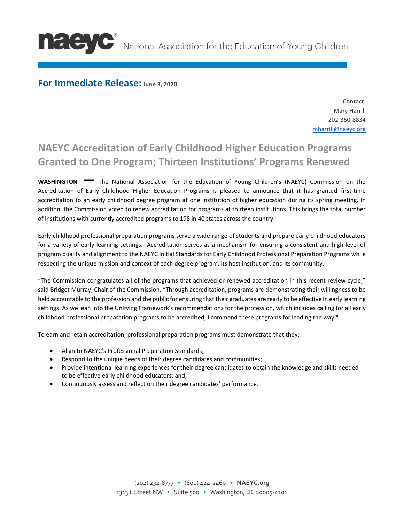

**NELEVC** National Association for the Education of Young Children

## **For Immediate Release: June 3, 2020**

**Contact:** Mary Harrill 202-350-8834 [mharrill@naeyc.org](mailto:mharrill@naeyc.org)

## **NAEYC Accreditation of Early Childhood Higher Education Programs Granted to One Program; Thirteen Institutions' Programs Renewed**

**WASHINGTON —** The National Association for the Education of Young Children's (NAEYC) Commission on the Accreditation of Early Childhood Higher Education Programs is pleased to announce that it has granted first-time accreditation to an early childhood degree program at one institution of higher education during its spring meeting. In addition, the Commission voted to renew accreditation for programs at thirteen institutions. This brings the total number of institutions with currently accredited programs to 198 in 40 states across the country.

Early childhood professional preparation programs serve a wide-range of students and prepare early childhood educators for a variety of early learning settings. Accreditation serves as a mechanism for ensuring a consistent and high level of program quality and alignment to the NAEYC Initial Standards for Early Childhood Professional Preparation Programs while respecting the unique mission and context of each degree program, its host institution, and its community.

"The Commission congratulates all of the programs that achieved or renewed accreditation in this recent review cycle," said Bridget Murray, Chair of the Commission. "Through accreditation, programs are demonstrating their willingness to be held accountable to the profession and the public for ensuring that their graduates are ready to be effective in early learning settings. As we lean into the Unifying Framework's recommendations for the profession, which includes calling for all early childhood professional preparation programs to be accredited, I commend these programs for leading the way."

To earn and retain accreditation, professional preparation programs must demonstrate that they:

- Align to NAEYC's Professional Preparation Standards;
- Respond to the unique needs of their degree candidates and communities;
- Provide intentional learning experiences for their degree candidates to obtain the knowledge and skills needed to be effective early childhood educators; and,
- Continuously assess and reflect on their degree candidates' performance.